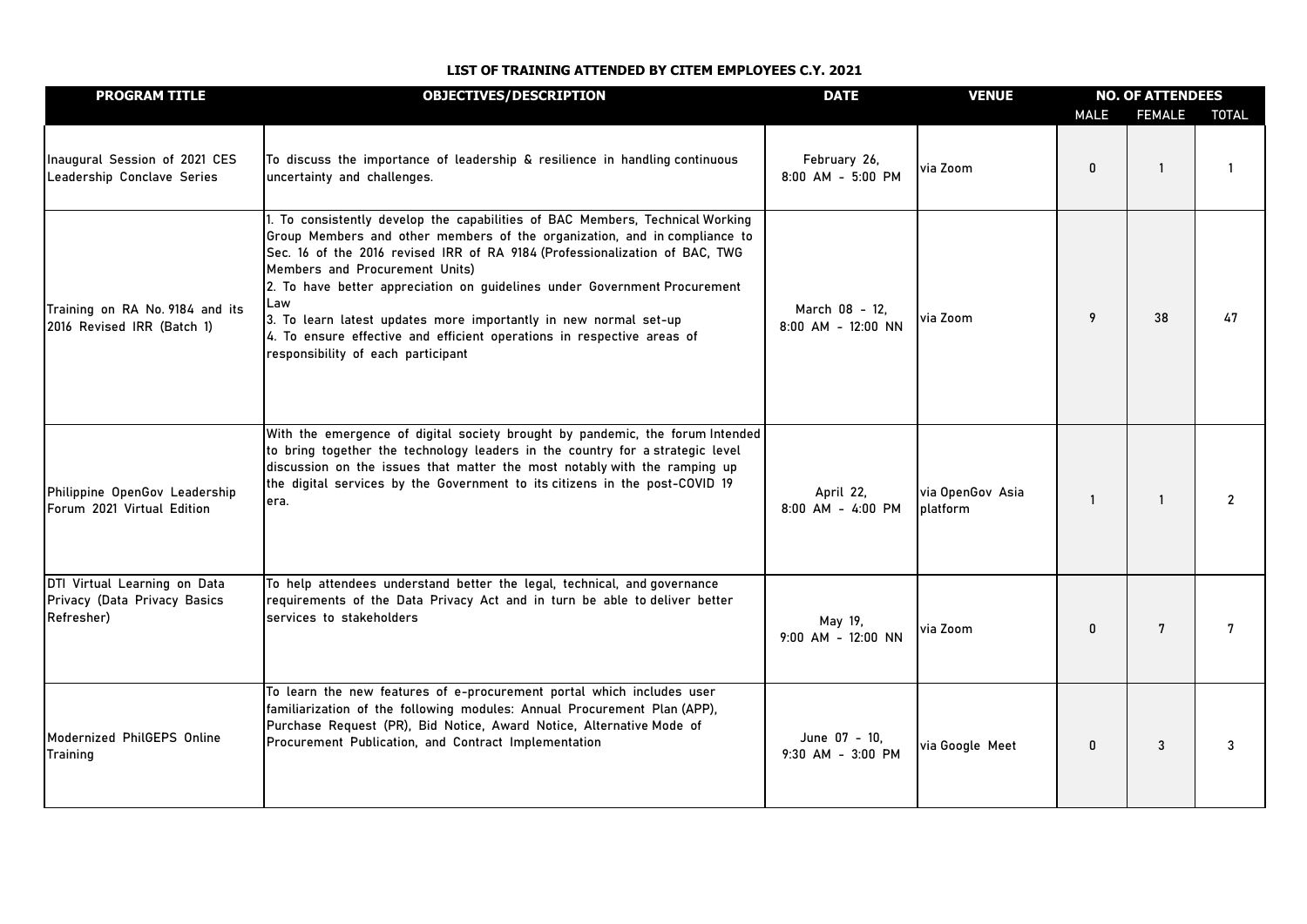| <b>PROGRAM TITLE</b>                                                       | <b>OBJECTIVES/DESCRIPTION</b>                                                                                                                                                                                                                                                                                                                                                                                                                                                                                                                       | <b>DATE</b>                          | <b>VENUE</b>                 | <b>NO. OF ATTENDEES</b> |               |                |
|----------------------------------------------------------------------------|-----------------------------------------------------------------------------------------------------------------------------------------------------------------------------------------------------------------------------------------------------------------------------------------------------------------------------------------------------------------------------------------------------------------------------------------------------------------------------------------------------------------------------------------------------|--------------------------------------|------------------------------|-------------------------|---------------|----------------|
|                                                                            |                                                                                                                                                                                                                                                                                                                                                                                                                                                                                                                                                     |                                      |                              | <b>MALE</b>             | <b>FEMALE</b> | <b>TOTAL</b>   |
| Inaugural Session of 2021 CES<br>Leadership Conclave Series                | To discuss the importance of leadership & resilience in handling continuous<br>uncertainty and challenges.                                                                                                                                                                                                                                                                                                                                                                                                                                          | February 26,<br>8:00 AM - 5:00 PM    | via Zoom                     | 0                       | 1             |                |
| Training on RA No. 9184 and its<br>2016 Revised IRR (Batch 1)              | 1. To consistently develop the capabilities of BAC Members, Technical Working<br>Group Members and other members of the organization, and in compliance to<br>Sec. 16 of the 2016 revised IRR of RA 9184 (Professionalization of BAC, TWG<br>Members and Procurement Units)<br>2. To have better appreciation on guidelines under Government Procurement<br>Law<br>3. To learn latest updates more importantly in new normal set-up<br>4. To ensure effective and efficient operations in respective areas of<br>responsibility of each participant | March 08 - 12,<br>8:00 AM - 12:00 NN | via Zoom                     | 9                       | 38            | 47             |
| Philippine OpenGov Leadership<br>Forum 2021 Virtual Edition                | With the emergence of digital society brought by pandemic, the forum Intended<br>to bring together the technology leaders in the country for a strategic level<br>discussion on the issues that matter the most notably with the ramping up<br>the digital services by the Government to its citizens in the post-COVID 19<br>lera.                                                                                                                                                                                                                 | April 22,<br>8:00 AM - 4:00 PM       | via OpenGov Asia<br>platform | $\mathbf{1}$            | $\mathbf{1}$  | $\overline{2}$ |
| DTI Virtual Learning on Data<br>Privacy (Data Privacy Basics<br>Refresher) | To help attendees understand better the legal, technical, and governance<br>requirements of the Data Privacy Act and in turn be able to deliver better<br>services to stakeholders                                                                                                                                                                                                                                                                                                                                                                  | May 19.<br>9:00 AM - 12:00 NN        | via Zoom                     | 0                       | 7             | 7              |
| Modernized PhilGEPS Online<br><b>Training</b>                              | To learn the new features of e-procurement portal which includes user<br>familiarization of the following modules: Annual Procurement Plan (APP),<br>Purchase Request (PR), Bid Notice, Award Notice, Alternative Mode of<br>Procurement Publication, and Contract Implementation                                                                                                                                                                                                                                                                   | June 07 - 10.<br>9:30 AM - 3:00 PM   | via Google Meet              | 0                       | 3             | 3              |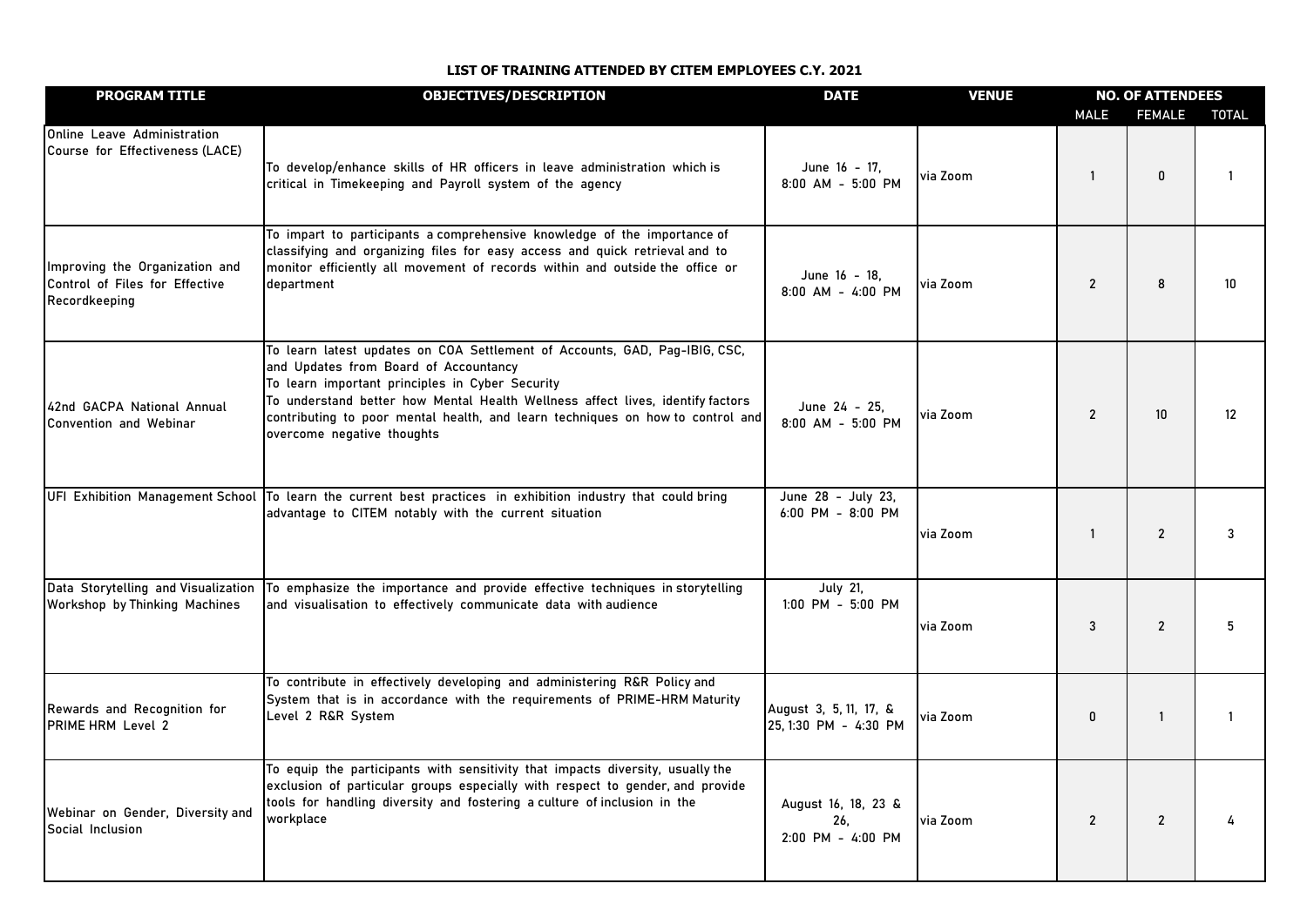| <b>PROGRAM TITLE</b>                                                              | <b>OBJECTIVES/DESCRIPTION</b>                                                                                                                                                                                                                                                                                                                                            | <b>DATE</b>                                     | <b>VENUE</b> | <b>NO. OF ATTENDEES</b> |                 |              |
|-----------------------------------------------------------------------------------|--------------------------------------------------------------------------------------------------------------------------------------------------------------------------------------------------------------------------------------------------------------------------------------------------------------------------------------------------------------------------|-------------------------------------------------|--------------|-------------------------|-----------------|--------------|
|                                                                                   |                                                                                                                                                                                                                                                                                                                                                                          |                                                 |              | <b>MALE</b>             | <b>FEMALE</b>   | <b>TOTAL</b> |
| Online Leave Administration<br>Course for Effectiveness (LACE)                    | To develop/enhance skills of HR officers in leave administration which is<br>critical in Timekeeping and Payroll system of the agency                                                                                                                                                                                                                                    | June 16 - 17.<br>8:00 AM - 5:00 PM              | via Zoom     | $\mathbf{1}$            | $\pmb{0}$       | -1           |
| Improving the Organization and<br>Control of Files for Effective<br>Recordkeeping | To impart to participants a comprehensive knowledge of the importance of<br>classifying and organizing files for easy access and quick retrieval and to<br>monitor efficiently all movement of records within and outside the office or<br>department                                                                                                                    | June 16 - 18.<br>8:00 AM - 4:00 PM              | via Zoom     | $\overline{2}$          | 8               | 10           |
| 42nd GACPA National Annual<br><b>Convention and Webinar</b>                       | To learn latest updates on COA Settlement of Accounts, GAD, Pag-IBIG, CSC,<br>and Updates from Board of Accountancy<br>To learn important principles in Cyber Security<br>To understand better how Mental Health Wellness affect lives, identify factors<br>contributing to poor mental health, and learn techniques on how to control and<br>overcome negative thoughts | June 24 - 25,<br>8:00 AM - 5:00 PM              | via Zoom     | $\overline{2}$          | 10 <sup>°</sup> | 12           |
|                                                                                   | UFI Exhibition Management School To learn the current best practices in exhibition industry that could bring<br>advantage to CITEM notably with the current situation                                                                                                                                                                                                    | June 28 - July 23,<br>6:00 PM - 8:00 PM         | via Zoom     | $\mathbf{1}$            | $\overline{2}$  | 3            |
| Data Storytelling and Visualization<br>Workshop by Thinking Machines              | To emphasize the importance and provide effective techniques in storytelling<br>and visualisation to effectively communicate data with audience                                                                                                                                                                                                                          | <b>July 21,</b><br>1:00 PM - 5:00 PM            | via Zoom     | 3                       | $\overline{2}$  | 5            |
| Rewards and Recognition for<br><b>PRIME HRM Level 2</b>                           | To contribute in effectively developing and administering R&R Policy and<br>System that is in accordance with the requirements of PRIME-HRM Maturity<br>Level 2 R&R System                                                                                                                                                                                               | August 3, 5, 11, 17, &<br>25, 1:30 PM - 4:30 PM | via Zoom     | 0                       | $\mathbf{1}$    | -1           |
| Webinar on Gender, Diversity and<br>Social Inclusion                              | To equip the participants with sensitivity that impacts diversity, usually the<br>exclusion of particular groups especially with respect to gender, and provide<br>tools for handling diversity and fostering a culture of inclusion in the<br>workplace                                                                                                                 | August 16, 18, 23 &<br>26.<br>2:00 PM - 4:00 PM | via Zoom     | $\overline{2}$          | $\overline{2}$  |              |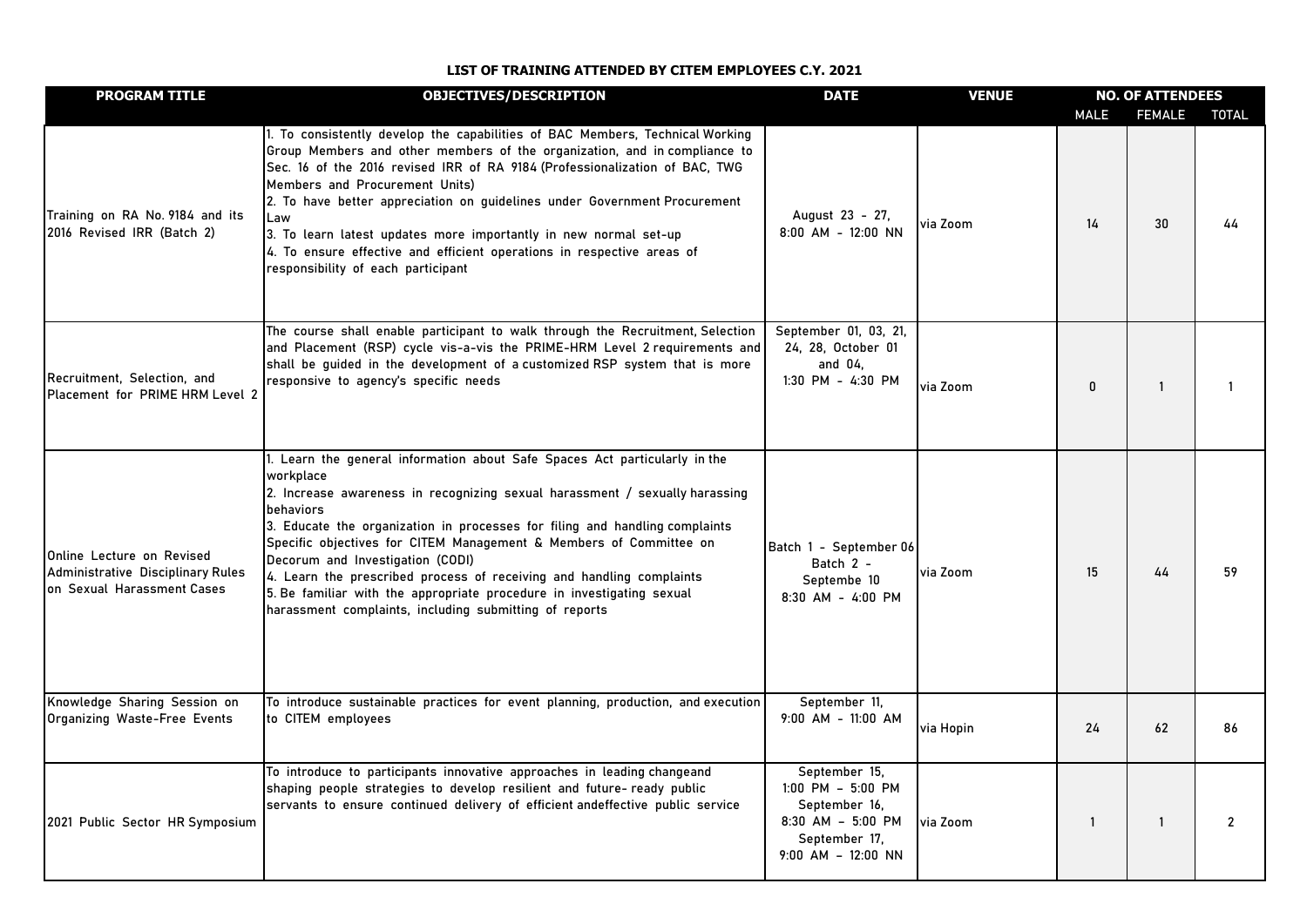| <b>PROGRAM TITLE</b>                                                                         | <b>OBJECTIVES/DESCRIPTION</b>                                                                                                                                                                                                                                                                                                                                                                                                                                                                                                                                                           | <b>DATE</b>                                                                                                       | <b>VENUE</b> | <b>NO. OF ATTENDEES</b> |               |                |
|----------------------------------------------------------------------------------------------|-----------------------------------------------------------------------------------------------------------------------------------------------------------------------------------------------------------------------------------------------------------------------------------------------------------------------------------------------------------------------------------------------------------------------------------------------------------------------------------------------------------------------------------------------------------------------------------------|-------------------------------------------------------------------------------------------------------------------|--------------|-------------------------|---------------|----------------|
|                                                                                              |                                                                                                                                                                                                                                                                                                                                                                                                                                                                                                                                                                                         |                                                                                                                   |              | <b>MALE</b>             | <b>FEMALE</b> | <b>TOTAL</b>   |
| Training on RA No. 9184 and its<br>2016 Revised IRR (Batch 2)                                | 1. To consistently develop the capabilities of BAC Members, Technical Working<br>Group Members and other members of the organization, and in compliance to<br>Sec. 16 of the 2016 revised IRR of RA 9184 (Professionalization of BAC, TWG<br>Members and Procurement Units)<br>2. To have better appreciation on guidelines under Government Procurement<br>Law<br>3. To learn latest updates more importantly in new normal set-up<br>4. To ensure effective and efficient operations in respective areas of<br>responsibility of each participant                                     | August 23 - 27,<br>8:00 AM - 12:00 NN                                                                             | via Zoom     | 14                      | 30            | 44             |
| Recruitment, Selection, and<br>Placement for PRIME HRM Level 2                               | The course shall enable participant to walk through the Recruitment, Selection<br>and Placement (RSP) cycle vis-a-vis the PRIME-HRM Level 2 requirements and<br>shall be guided in the development of a customized RSP system that is more<br>responsive to agency's specific needs                                                                                                                                                                                                                                                                                                     | September 01, 03, 21,<br>24, 28, October 01<br>and 04.<br>1:30 PM - 4:30 PM                                       | via Zoom     | 0                       | 1             |                |
| Online Lecture on Revised<br>Administrative Disciplinary Rules<br>on Sexual Harassment Cases | I. Learn the general information about Safe Spaces Act particularly in the<br>workplace<br>2. Increase awareness in recognizing sexual harassment / sexually harassing<br>behaviors<br>3. Educate the organization in processes for filing and handling complaints<br>Specific objectives for CITEM Management & Members of Committee on<br>Decorum and Investigation (CODI)<br>4. Learn the prescribed process of receiving and handling complaints<br>5. Be familiar with the appropriate procedure in investigating sexual<br>harassment complaints, including submitting of reports | Batch 1 - September 06<br>Batch 2 -<br>Septembe 10<br>8:30 AM - 4:00 PM                                           | via Zoom     | 15                      | 44            | 59             |
| Knowledge Sharing Session on<br>Organizing Waste-Free Events                                 | To introduce sustainable practices for event planning, production, and execution<br>to CITEM employees                                                                                                                                                                                                                                                                                                                                                                                                                                                                                  | September 11,<br>9:00 AM - 11:00 AM                                                                               | via Hopin    | 24                      | 62            | 86             |
| 2021 Public Sector HR Symposium                                                              | To introduce to participants innovative approaches in leading changeand<br>shaping people strategies to develop resilient and future- ready public<br>servants to ensure continued delivery of efficient andeffective public service                                                                                                                                                                                                                                                                                                                                                    | September 15.<br>1:00 PM - 5:00 PM<br>September 16.<br>8:30 AM - 5:00 PM<br>September 17,<br>$9:00$ AM - 12:00 NN | via Zoom     | $\mathbf{1}$            | $\mathbf{1}$  | $\overline{2}$ |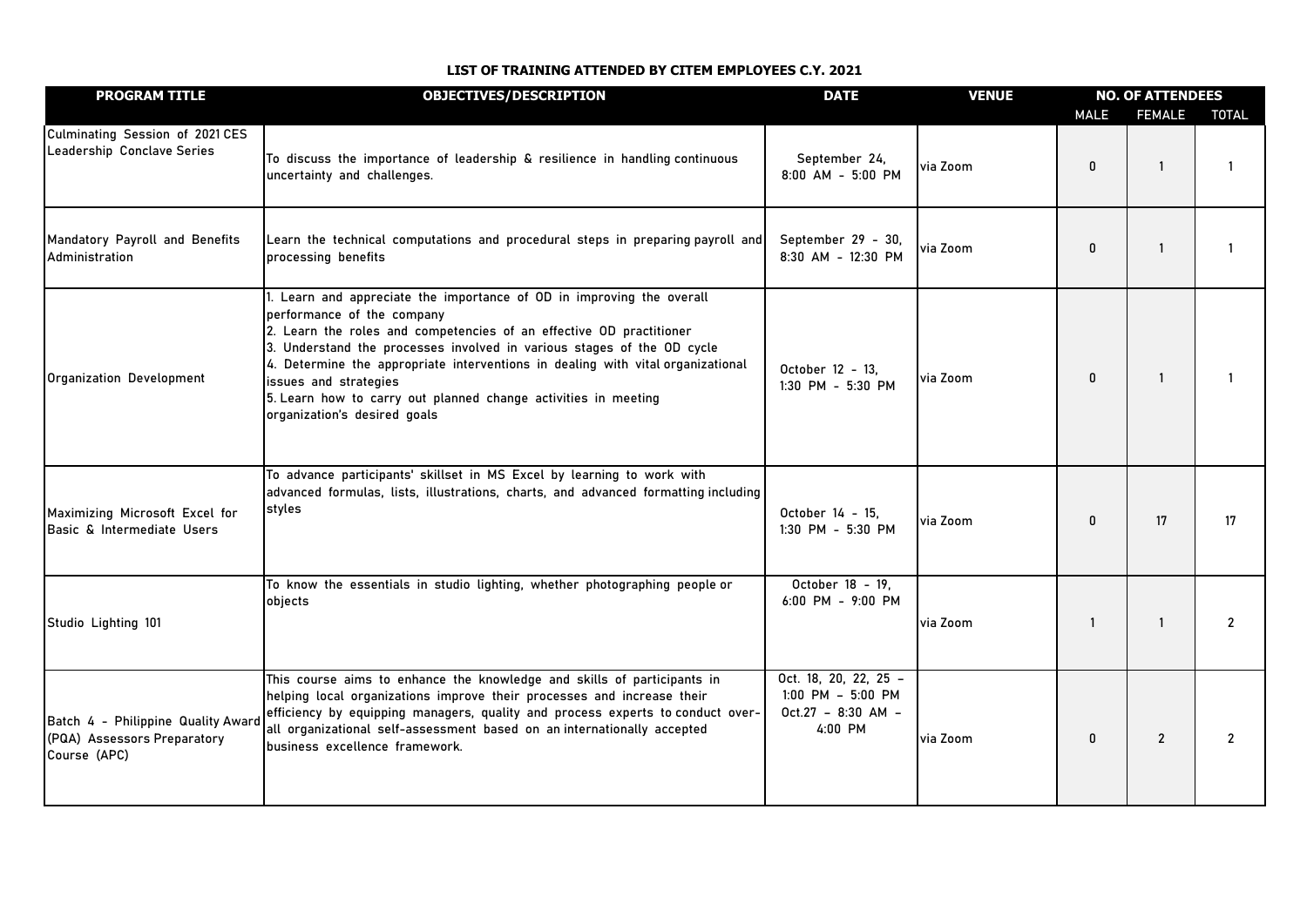| <b>PROGRAM TITLE</b>                                                              | <b>OBJECTIVES/DESCRIPTION</b>                                                                                                                                                                                                                                                                                                                                                                                                                                      | <b>DATE</b>                                                                       | <b>VENUE</b> | <b>NO. OF ATTENDEES</b> |                |                |
|-----------------------------------------------------------------------------------|--------------------------------------------------------------------------------------------------------------------------------------------------------------------------------------------------------------------------------------------------------------------------------------------------------------------------------------------------------------------------------------------------------------------------------------------------------------------|-----------------------------------------------------------------------------------|--------------|-------------------------|----------------|----------------|
|                                                                                   |                                                                                                                                                                                                                                                                                                                                                                                                                                                                    |                                                                                   |              | <b>MALE</b>             | <b>FEMALE</b>  | <b>TOTAL</b>   |
| Culminating Session of 2021 CES<br>Leadership Conclave Series                     | To discuss the importance of leadership & resilience in handling continuous<br>uncertainty and challenges.                                                                                                                                                                                                                                                                                                                                                         | September 24,<br>8:00 AM - 5:00 PM                                                | via Zoom     | 0                       |                |                |
| Mandatory Payroll and Benefits<br>Administration                                  | Learn the technical computations and procedural steps in preparing payroll and<br>processing benefits                                                                                                                                                                                                                                                                                                                                                              | September 29 - 30,<br>8:30 AM - 12:30 PM                                          | via Zoom     | 0                       | $\mathbf{1}$   |                |
| Organization Development                                                          | 1. Learn and appreciate the importance of OD in improving the overall<br>performance of the company<br>2. Learn the roles and competencies of an effective OD practitioner<br>3. Understand the processes involved in various stages of the OD cycle<br>4. Determine the appropriate interventions in dealing with vital organizational<br>issues and strategies<br>5. Learn how to carry out planned change activities in meeting<br>organization's desired goals | October 12 - 13,<br>1:30 PM - 5:30 PM                                             | via Zoom     | 0                       | 1              |                |
| Maximizing Microsoft Excel for<br>Basic & Intermediate Users                      | To advance participants' skillset in MS Excel by learning to work with<br>advanced formulas, lists, illustrations, charts, and advanced formatting including<br>styles                                                                                                                                                                                                                                                                                             | October 14 - 15,<br>$1:30$ PM - 5:30 PM                                           | via Zoom     | 0                       | 17             | 17             |
| Studio Lighting 101                                                               | To know the essentials in studio lighting, whether photographing people or<br>objects                                                                                                                                                                                                                                                                                                                                                                              | October 18 - 19,<br>6:00 PM - 9:00 PM                                             | via Zoom     | 1                       | 1              | $\overline{2}$ |
| Batch 4 - Philippine Quality Award<br>(PQA) Assessors Preparatory<br>Course (APC) | This course aims to enhance the knowledge and skills of participants in<br>helping local organizations improve their processes and increase their<br>efficiency by equipping managers, quality and process experts to conduct over-<br>all organizational self-assessment based on an internationally accepted<br>business excellence framework.                                                                                                                   | Oct. 18, 20, 22, 25 -<br>$1:00$ PM $-$ 5:00 PM<br>$Oct.27 - 8:30 AM -$<br>4:00 PM | via Zoom     | 0                       | $\overline{2}$ |                |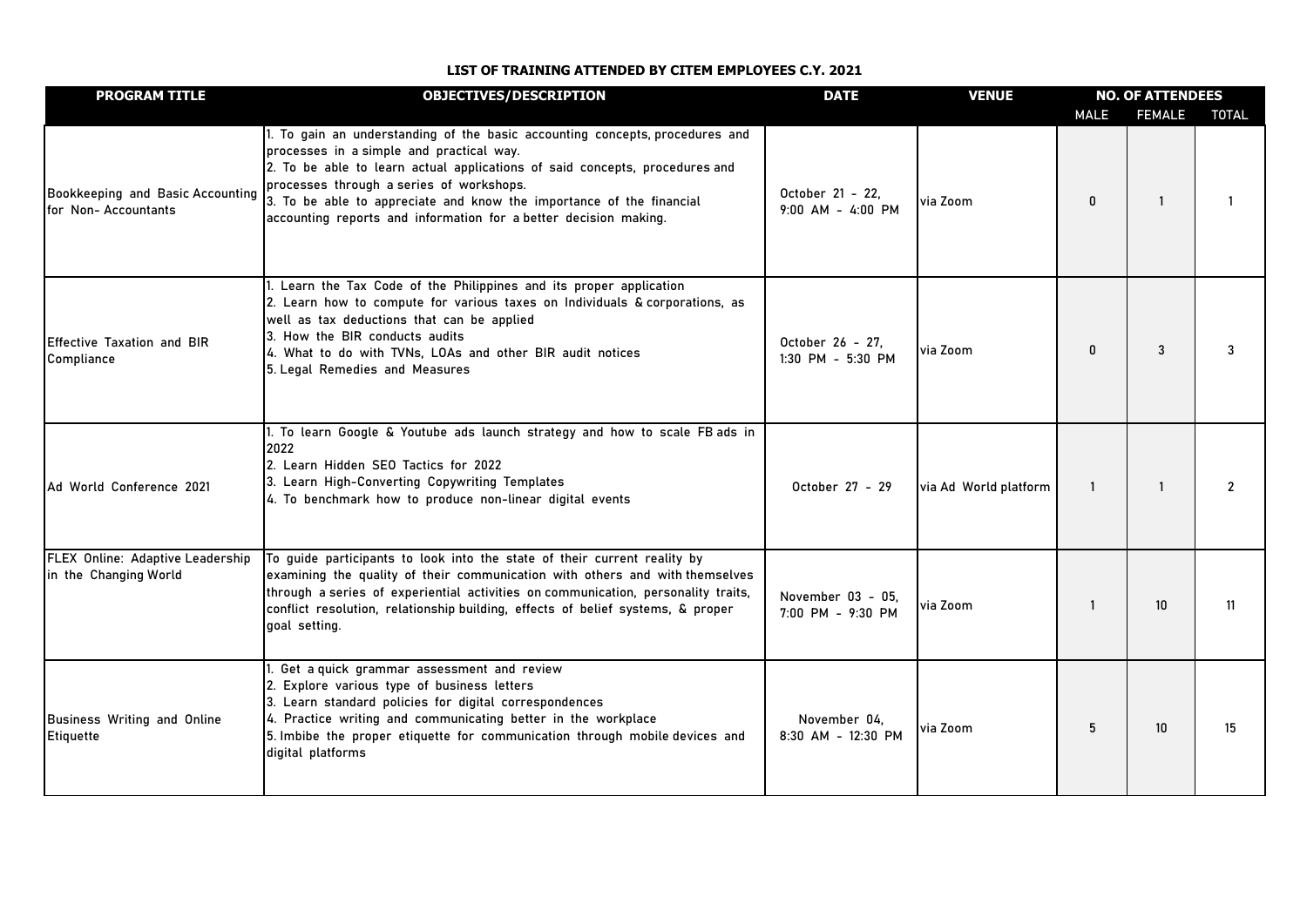| <b>PROGRAM TITLE</b>                                      | <b>OBJECTIVES/DESCRIPTION</b>                                                                                                                                                                                                                                                                                                                                                                   | <b>DATE</b>                            | <b>VENUE</b>          | <b>NO. OF ATTENDEES</b> |                  |                |
|-----------------------------------------------------------|-------------------------------------------------------------------------------------------------------------------------------------------------------------------------------------------------------------------------------------------------------------------------------------------------------------------------------------------------------------------------------------------------|----------------------------------------|-----------------------|-------------------------|------------------|----------------|
|                                                           |                                                                                                                                                                                                                                                                                                                                                                                                 |                                        |                       | <b>MALE</b>             | <b>FEMALE</b>    | <b>TOTAL</b>   |
| Bookkeeping and Basic Accounting<br>for Non-Accountants   | 1. To gain an understanding of the basic accounting concepts, procedures and<br>processes in a simple and practical way.<br>2. To be able to learn actual applications of said concepts, procedures and<br>processes through a series of workshops.<br>3. To be able to appreciate and know the importance of the financial<br>accounting reports and information for a better decision making. | October 21 - 22.<br>9:00 AM - 4:00 PM  | via Zoom              | 0                       | $\mathbf{1}$     |                |
| Effective Taxation and BIR<br>Compliance                  | 1. Learn the Tax Code of the Philippines and its proper application<br>2. Learn how to compute for various taxes on Individuals & corporations, as<br>well as tax deductions that can be applied<br>3. How the BIR conducts audits<br>4. What to do with TVNs, LOAs and other BIR audit notices<br>5. Legal Remedies and Measures                                                               | October 26 - 27.<br>1:30 PM - 5:30 PM  | via Zoom              | $\Omega$                | 3                | 3              |
| Ad World Conference 2021                                  | 1. To learn Google & Youtube ads launch strategy and how to scale FB ads in<br>2022<br>2. Learn Hidden SEO Tactics for 2022<br>3. Learn High-Converting Copywriting Templates<br>4. To benchmark how to produce non-linear digital events                                                                                                                                                       | October 27 - 29                        | via Ad World platform | $\overline{1}$          |                  | $\overline{2}$ |
| FLEX Online: Adaptive Leadership<br>in the Changing World | To guide participants to look into the state of their current reality by<br>examining the quality of their communication with others and with themselves<br>through a series of experiential activities on communication, personality traits,<br>conflict resolution, relationship building, effects of belief systems, & proper<br>goal setting.                                               | November 03 - 05,<br>7:00 PM - 9:30 PM | via Zoom              | $\mathbf{1}$            | 10 <sup>10</sup> | 11             |
| Business Writing and Online<br>Etiquette                  | 1. Get a quick grammar assessment and review<br>2. Explore various type of business letters<br>3. Learn standard policies for digital correspondences<br>4. Practice writing and communicating better in the workplace<br>5. Imbibe the proper etiquette for communication through mobile devices and<br>digital platforms                                                                      | November 04.<br>8:30 AM - 12:30 PM     | via Zoom              | 5                       | 10               | 15             |